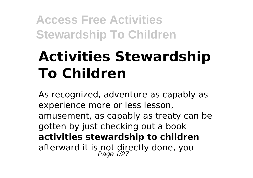# **Activities Stewardship To Children**

As recognized, adventure as capably as experience more or less lesson, amusement, as capably as treaty can be gotten by just checking out a book **activities stewardship to children** afterward it is not directly done, you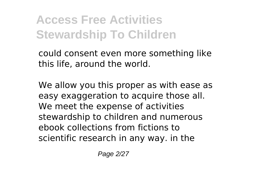could consent even more something like this life, around the world.

We allow you this proper as with ease as easy exaggeration to acquire those all. We meet the expense of activities stewardship to children and numerous ebook collections from fictions to scientific research in any way. in the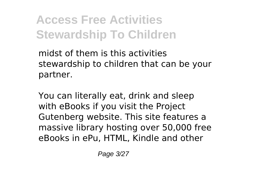midst of them is this activities stewardship to children that can be your partner.

You can literally eat, drink and sleep with eBooks if you visit the Project Gutenberg website. This site features a massive library hosting over 50,000 free eBooks in ePu, HTML, Kindle and other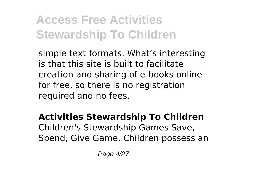simple text formats. What's interesting is that this site is built to facilitate creation and sharing of e-books online for free, so there is no registration required and no fees.

#### **Activities Stewardship To Children** Children's Stewardship Games Save, Spend, Give Game. Children possess an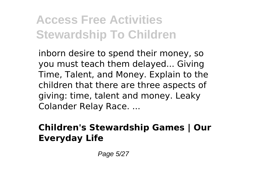inborn desire to spend their money, so you must teach them delayed... Giving Time, Talent, and Money. Explain to the children that there are three aspects of giving: time, talent and money. Leaky Colander Relay Race. ...

#### **Children's Stewardship Games | Our Everyday Life**

Page 5/27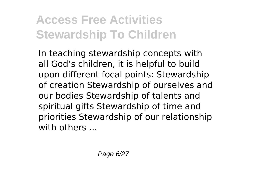In teaching stewardship concepts with all God's children, it is helpful to build upon different focal points: Stewardship of creation Stewardship of ourselves and our bodies Stewardship of talents and spiritual gifts Stewardship of time and priorities Stewardship of our relationship with others ...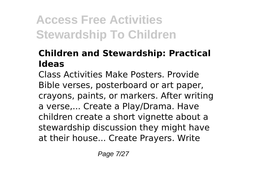#### **Children and Stewardship: Practical Ideas**

Class Activities Make Posters. Provide Bible verses, posterboard or art paper, crayons, paints, or markers. After writing a verse,... Create a Play/Drama. Have children create a short vignette about a stewardship discussion they might have at their house... Create Prayers. Write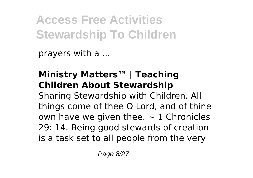prayers with a ...

#### **Ministry Matters™ | Teaching Children About Stewardship**

Sharing Stewardship with Children. All things come of thee O Lord, and of thine own have we given thee.  $\sim$  1 Chronicles 29: 14. Being good stewards of creation is a task set to all people from the very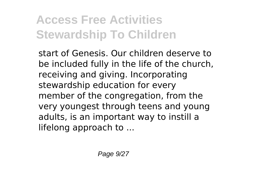start of Genesis. Our children deserve to be included fully in the life of the church, receiving and giving. Incorporating stewardship education for every member of the congregation, from the very youngest through teens and young adults, is an important way to instill a lifelong approach to ...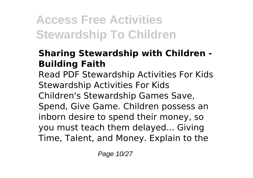#### **Sharing Stewardship with Children - Building Faith**

Read PDF Stewardship Activities For Kids Stewardship Activities For Kids Children's Stewardship Games Save, Spend, Give Game. Children possess an inborn desire to spend their money, so you must teach them delayed... Giving Time, Talent, and Money. Explain to the

Page 10/27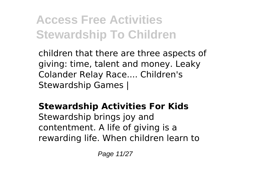children that there are three aspects of giving: time, talent and money. Leaky Colander Relay Race.... Children's Stewardship Games |

#### **Stewardship Activities For Kids**

Stewardship brings joy and contentment. A life of giving is a rewarding life. When children learn to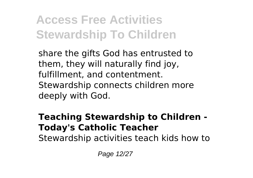share the gifts God has entrusted to them, they will naturally find joy, fulfillment, and contentment. Stewardship connects children more deeply with God.

#### **Teaching Stewardship to Children - Today's Catholic Teacher**

Stewardship activities teach kids how to

Page 12/27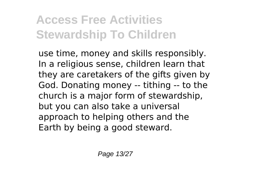use time, money and skills responsibly. In a religious sense, children learn that they are caretakers of the gifts given by God. Donating money -- tithing -- to the church is a major form of stewardship, but you can also take a universal approach to helping others and the Earth by being a good steward.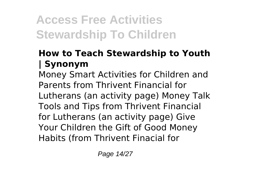#### **How to Teach Stewardship to Youth | Synonym**

Money Smart Activities for Children and Parents from Thrivent Financial for Lutherans (an activity page) Money Talk Tools and Tips from Thrivent Financial for Lutherans (an activity page) Give Your Children the Gift of Good Money Habits (from Thrivent Finacial for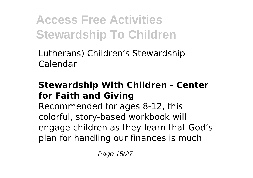Lutherans) Children's Stewardship Calendar

#### **Stewardship With Children - Center for Faith and Giving**

Recommended for ages 8-12, this colorful, story-based workbook will engage children as they learn that God's plan for handling our finances is much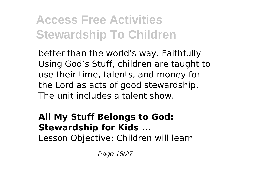better than the world's way. Faithfully Using God's Stuff, children are taught to use their time, talents, and money for the Lord as acts of good stewardship. The unit includes a talent show.

#### **All My Stuff Belongs to God: Stewardship for Kids ...**

Lesson Objective: Children will learn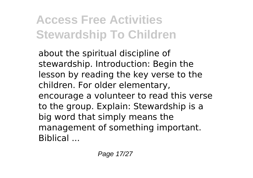about the spiritual discipline of stewardship. Introduction: Begin the lesson by reading the key verse to the children. For older elementary, encourage a volunteer to read this verse to the group. Explain: Stewardship is a big word that simply means the management of something important. Biblical ...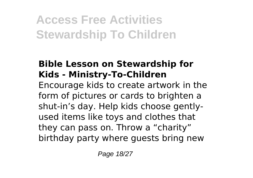#### **Bible Lesson on Stewardship for Kids - Ministry-To-Children**

Encourage kids to create artwork in the form of pictures or cards to brighten a shut-in's day. Help kids choose gentlyused items like toys and clothes that they can pass on. Throw a "charity" birthday party where guests bring new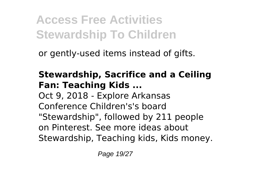or gently-used items instead of gifts.

#### **Stewardship, Sacrifice and a Ceiling Fan: Teaching Kids ...**

Oct 9, 2018 - Explore Arkansas Conference Children's's board "Stewardship", followed by 211 people on Pinterest. See more ideas about Stewardship, Teaching kids, Kids money.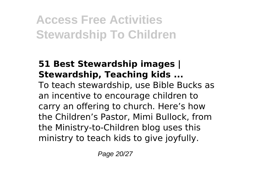#### **51 Best Stewardship images | Stewardship, Teaching kids ...**

To teach stewardship, use Bible Bucks as an incentive to encourage children to carry an offering to church. Here's how the Children's Pastor, Mimi Bullock, from the Ministry-to-Children blog uses this ministry to teach kids to give joyfully.

Page 20/27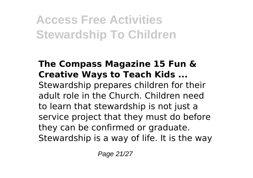#### **The Compass Magazine 15 Fun & Creative Ways to Teach Kids ...**

Stewardship prepares children for their adult role in the Church. Children need to learn that stewardship is not just a service project that they must do before they can be confirmed or graduate. Stewardship is a way of life. It is the way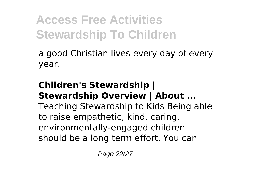a good Christian lives every day of every year.

#### **Children's Stewardship | Stewardship Overview | About ...** Teaching Stewardship to Kids Being able to raise empathetic, kind, caring, environmentally-engaged children should be a long term effort. You can

Page 22/27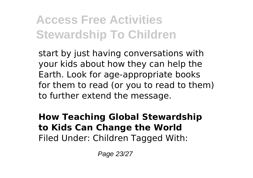start by just having conversations with your kids about how they can help the Earth. Look for age-appropriate books for them to read (or you to read to them) to further extend the message.

#### **How Teaching Global Stewardship to Kids Can Change the World** Filed Under: Children Tagged With:

Page 23/27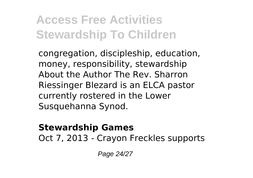congregation, discipleship, education, money, responsibility, stewardship About the Author The Rev. Sharron Riessinger Blezard is an ELCA pastor currently rostered in the Lower Susquehanna Synod.

#### **Stewardship Games**

Oct 7, 2013 - Crayon Freckles supports

Page 24/27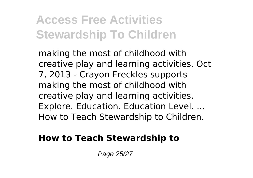making the most of childhood with creative play and learning activities. Oct 7, 2013 - Crayon Freckles supports making the most of childhood with creative play and learning activities. Explore. Education. Education Level. ... How to Teach Stewardship to Children.

#### **How to Teach Stewardship to**

Page 25/27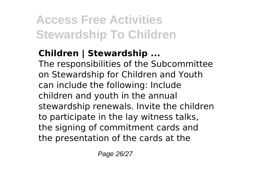#### **Children | Stewardship ...**

The responsibilities of the Subcommittee on Stewardship for Children and Youth can include the following: Include children and youth in the annual stewardship renewals. Invite the children to participate in the lay witness talks, the signing of commitment cards and the presentation of the cards at the